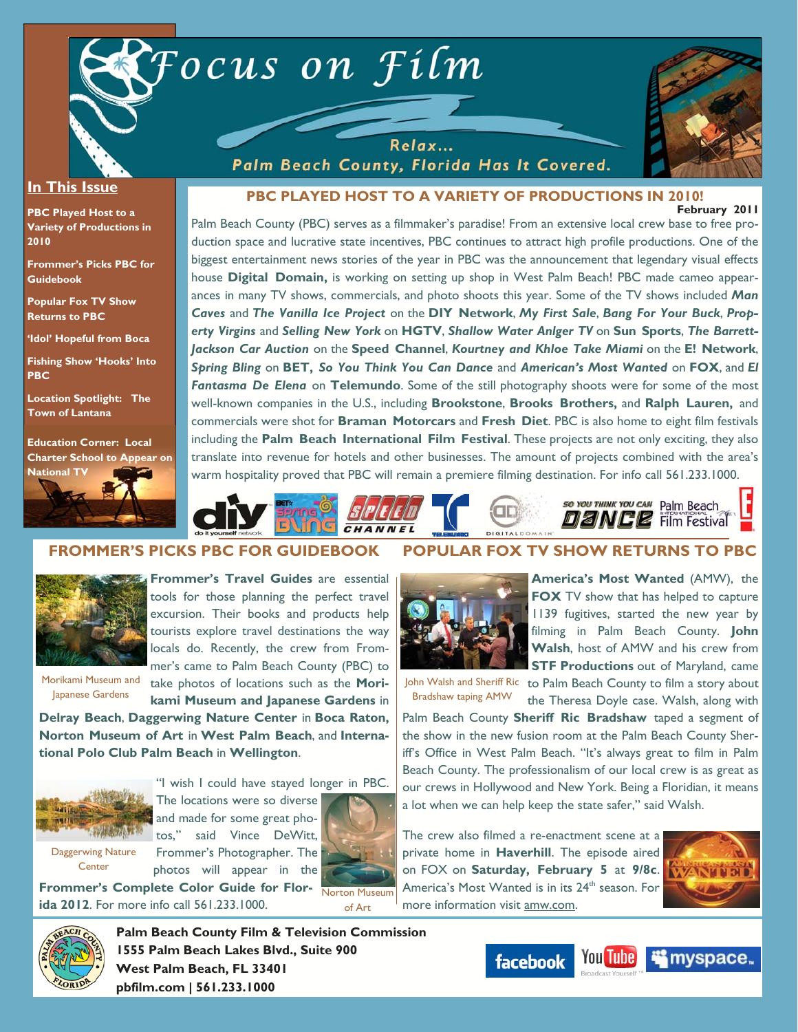



#### **In This Issue**

**PBC Played Host to a Variety of Productions in 2010** 

**Frommer's Picks PBC for Guidebook** 

**Popular Fox TV Show Returns to PBC** 

**'Idol' Hopeful from Boca Fishing Show 'Hooks' Into** 

**Location Spotlight: The Town of Lantana** 

**PBC** 

**Education Corner: Local Charter School to Appear on** 



**PBC PLAYED HOST TO A VARIETY OF PRODUCTIONS IN 2010!** 

Palm Beach County, Florida Has It Covered.

**February 2011** 

Palm Beach County (PBC) serves as a filmmaker's paradise! From an extensive local crew base to free production space and lucrative state incentives, PBC continues to attract high profile productions. One of the biggest entertainment news stories of the year in PBC was the announcement that legendary visual effects house **Digital Domain,** is working on setting up shop in West Palm Beach! PBC made cameo appearances in many TV shows, commercials, and photo shoots this year. Some of the TV shows included *Man Caves* and *The Vanilla Ice Project* on the **DIY Network**, *My First Sale*, *Bang For Your Buck*, *Property Virgins* and *Selling New York* on **HGTV**, *Shallow Water Anlger TV* on **Sun Sports**, *The Barrett-Jackson Car Auction* on the **Speed Channel**, *Kourtney and Khloe Take Miami* on the **E! Network**, *Spring Bling* on **BET,** *So You Think You Can Dance* and *American's Most Wanted* on **FOX**, and *El Fantasma De Elena* on **Telemundo**. Some of the still photography shoots were for some of the most well-known companies in the U.S., including **Brookstone**, **Brooks Brothers,** and **Ralph Lauren,** and commercials were shot for **Braman Motorcars** and **Fresh Diet**. PBC is also home to eight film festivals including the **Palm Beach International Film Festival**. These projects are not only exciting, they also translate into revenue for hotels and other businesses. The amount of projects combined with the area's warm hospitality proved that PBC will remain a premiere filming destination. For info call 561.233.1000.



### **FROMMER'S PICKS PBC FOR GUIDEBOOK**



**Frommer's Travel Guides** are essential tools for those planning the perfect travel excursion. Their books and products help tourists explore travel destinations the way locals do. Recently, the crew from Frommer's came to Palm Beach County (PBC) to

Morikami Museum and Japanese Gardens

take photos of locations such as the **Morikami Museum and Japanese Gardens** in

**Delray Beach**, **Daggerwing Nature Center** in **Boca Raton, Norton Museum of Art** in **West Palm Beach**, and **International Polo Club Palm Beach** in **Wellington**.



"I wish I could have stayed longer in PBC. The locations were so diverse

Daggerwing Nature **Center** 

**ida 2012**. For more info call 561.233.1000.

tos," said Vince DeWitt, Frommer's Photographer. The photos will appear in the **Frommer's Complete Color Guide for Flor-**

and made for some great pho-



John Walsh and Sheriff Ric to Palm Beach County to film a story about Bradshaw taping AMW

the Theresa Doyle case. Walsh, along with Palm Beach County **Sheriff Ric Bradshaw** taped a segment of the show in the new fusion room at the Palm Beach County Sher-

**America's Most Wanted** (AMW), the **FOX** TV show that has helped to capture 1139 fugitives, started the new year by filming in Palm Beach County. **John Walsh**, host of AMW and his crew from **STF Productions** out of Maryland, came

iff's Office in West Palm Beach. "It's always great to film in Palm Beach County. The professionalism of our local crew is as great as our crews in Hollywood and New York. Being a Floridian, it means a lot when we can help keep the state safer," said Walsh.

**POPULAR FOX TV SHOW RETURNS TO PBC** 

The crew also filmed a re-enactment scene at a private home in **Haverhill**. The episode aired on FOX on **Saturday, February 5** at **9/8c**. America's Most Wanted is in its 24<sup>th</sup> season. For more information visit amw.com.





**Palm Beach County Film & Television Commission 1555 Palm Beach Lakes Blvd., Suite 900 West Palm Beach, FL 33401 pbfilm.com | 561.233.1000** 



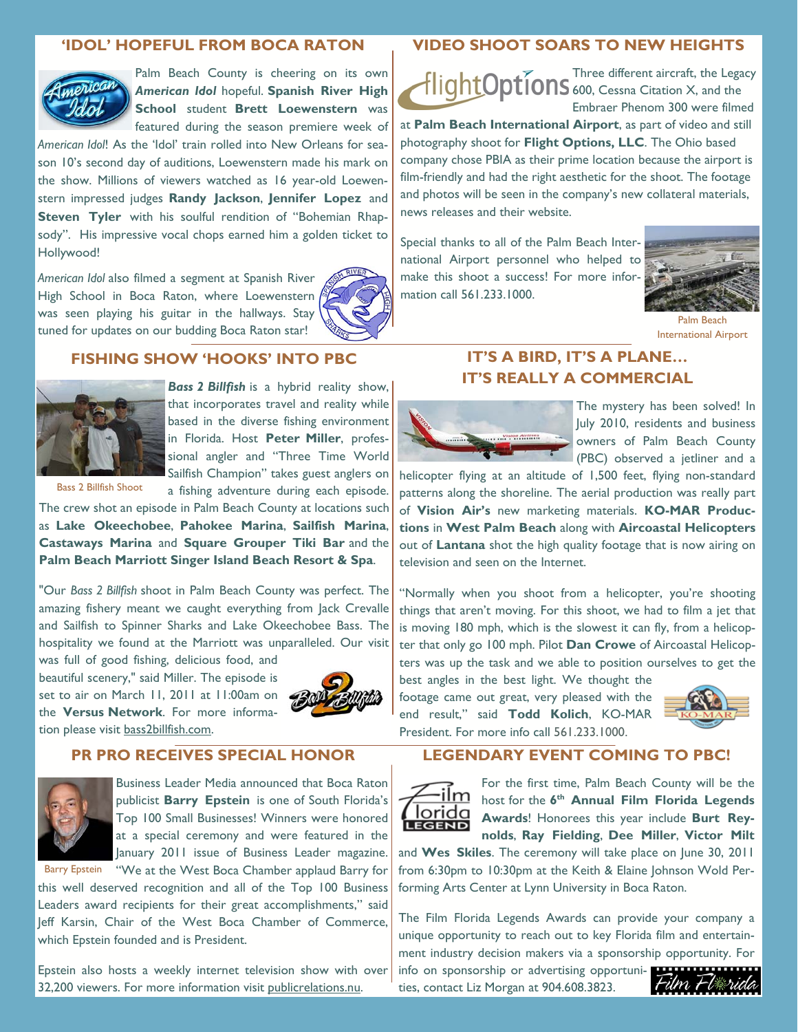#### **'IDOL' HOPEFUL FROM BOCA RATON**



Palm Beach County is cheering on its own *American Idol* hopeful. **Spanish River High School** student **Brett Loewenstern** was featured during the season premiere week of

*American Idol*! As the 'Idol' train rolled into New Orleans for season 10's second day of auditions, Loewenstern made his mark on the show. Millions of viewers watched as 16 year-old Loewenstern impressed judges **Randy Jackson**, **Jennifer Lopez** and **Steven Tyler** with his soulful rendition of "Bohemian Rhapsody". His impressive vocal chops earned him a golden ticket to Hollywood!

*American Idol* also filmed a segment at Spanish River High School in Boca Raton, where Loewenstern was seen playing his guitar in the hallways. Stay tuned for updates on our budding Boca Raton star!



#### **FISHING SHOW 'HOOKS' INTO PBC**



**Bass 2 Billfish** is a hybrid reality show, that incorporates travel and reality while based in the diverse fishing environment in Florida. Host **Peter Miller**, professional angler and "Three Time World Sailfish Champion" takes guest anglers on

a fishing adventure during each episode.

Bass 2 Billfish Shoot

The crew shot an episode in Palm Beach County at locations such as **Lake Okeechobee**, **Pahokee Marina**, **Sailfish Marina**, **Castaways Marina** and **Square Grouper Tiki Bar** and the **Palm Beach Marriott Singer Island Beach Resort & Spa**.

"Our *Bass 2 Billfish* shoot in Palm Beach County was perfect. The amazing fishery meant we caught everything from Jack Crevalle and Sailfish to Spinner Sharks and Lake Okeechobee Bass. The hospitality we found at the Marriott was unparalleled. Our visit

was full of good fishing, delicious food, and beautiful scenery," said Miller. The episode is set to air on March 11, 2011 at 11:00am on the **Versus Network**. For more information please visit bass2billfish.com.



## **PR PRO RECEIVES SPECIAL HONOR**



Business Leader Media announced that Boca Raton publicist **Barry Epstein** is one of South Florida's Top 100 Small Businesses! Winners were honored at a special ceremony and were featured in the January 2011 issue of Business Leader magazine.

Barry Epstein "We at the West Boca Chamber applaud Barry for

this well deserved recognition and all of the Top 100 Business Leaders award recipients for their great accomplishments," said Jeff Karsin, Chair of the West Boca Chamber of Commerce, which Epstein founded and is President.

Epstein also hosts a weekly internet television show with over 32,200 viewers. For more information visit publicrelations.nu.

#### **VIDEO SHOOT SOARS TO NEW HEIGHTS**

Three different aircraft, the Legacy 600, Cessna Citation X, and the Embraer Phenom 300 were filmed

at **Palm Beach International Airport**, as part of video and still photography shoot for **Flight Options, LLC**. The Ohio based company chose PBIA as their prime location because the airport is film-friendly and had the right aesthetic for the shoot. The footage and photos will be seen in the company's new collateral materials, news releases and their website.

Special thanks to all of the Palm Beach International Airport personnel who helped to make this shoot a success! For more information call 561.233.1000.



Palm Beach International Airport

# **IT'S REALLY A COMMERCIAL**

**IT'S A BIRD, IT'S A PLANE…** 



The mystery has been solved! In July 2010, residents and business owners of Palm Beach County (PBC) observed a jetliner and a

helicopter flying at an altitude of 1,500 feet, flying non-standard patterns along the shoreline. The aerial production was really part of **Vision Air's** new marketing materials. **KO-MAR Productions** in **West Palm Beach** along with **Aircoastal Helicopters**  out of **Lantana** shot the high quality footage that is now airing on television and seen on the Internet.

"Normally when you shoot from a helicopter, you're shooting things that aren't moving. For this shoot, we had to film a jet that is moving 180 mph, which is the slowest it can fly, from a helicopter that only go 100 mph. Pilot **Dan Crowe** of Aircoastal Helicopters was up the task and we able to position ourselves to get the best angles in the best light. We thought the

footage came out great, very pleased with the end result," said **Todd Kolich**, KO-MAR President. For more info call 561.233.1000.



#### **LEGENDARY EVENT COMING TO PBC!**



For the first time, Palm Beach County will be the host for the **6th Annual Film Florida Legends <u>Iorida</u>** Awards! Honorees this year include Burt Rey**nolds**, **Ray Fielding**, **Dee Miller**, **Victor Milt** 

and **Wes Skiles**. The ceremony will take place on June 30, 2011 from 6:30pm to 10:30pm at the Keith & Elaine Johnson Wold Performing Arts Center at Lynn University in Boca Raton.

The Film Florida Legends Awards can provide your company a unique opportunity to reach out to key Florida film and entertainment industry decision makers via a sponsorship opportunity. For

info on sponsorship or advertising opportunities, contact Liz Morgan at 904.608.3823.

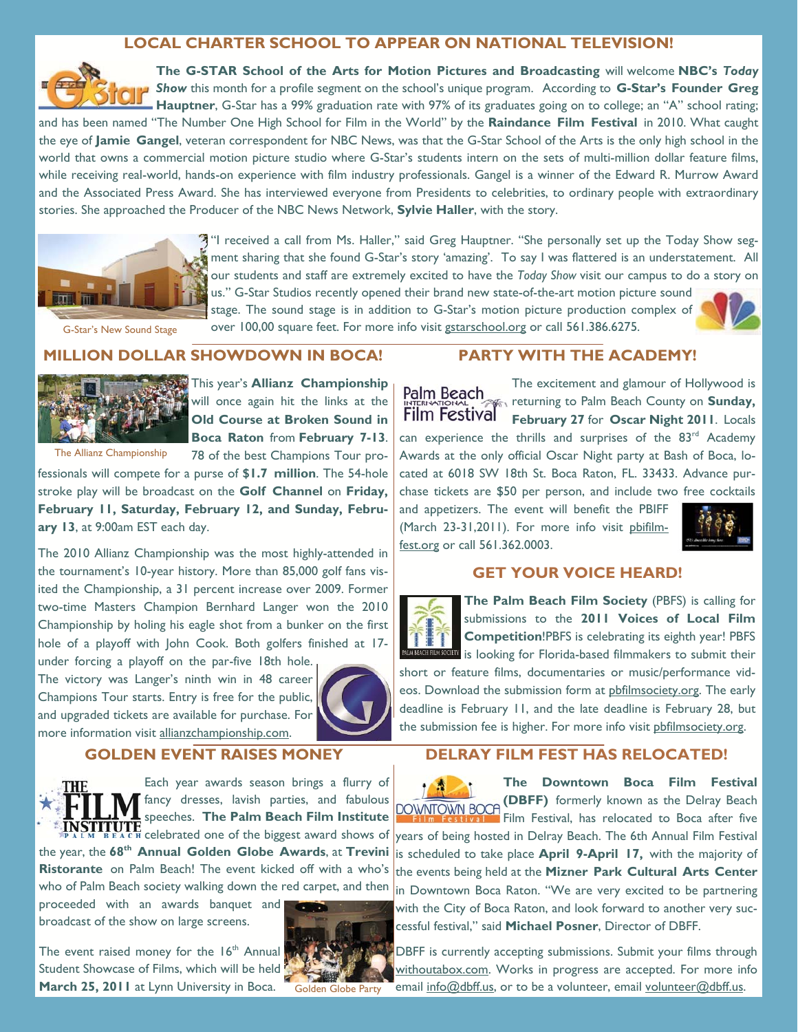## **LOCAL CHARTER SCHOOL TO APPEAR ON NATIONAL TELEVISION!**



**The G-STAR School of the Arts for Motion Pictures and Broadcasting** will welcome **NBC's** *Today Show* this month for a profile segment on the school's unique program. According to **G-Star's Founder Greg Hauptner**, G-Star has a 99% graduation rate with 97% of its graduates going on to college; an "A" school rating;

and has been named "The Number One High School for Film in the World" by the **Raindance Film Festival** in 2010. What caught the eye of **Jamie Gangel**, veteran correspondent for NBC News, was that the G-Star School of the Arts is the only high school in the world that owns a commercial motion picture studio where G-Star's students intern on the sets of multi-million dollar feature films, while receiving real-world, hands-on experience with film industry professionals. Gangel is a winner of the Edward R. Murrow Award and the Associated Press Award. She has interviewed everyone from Presidents to celebrities, to ordinary people with extraordinary stories. She approached the Producer of the NBC News Network, **Sylvie Haller**, with the story.



"I received a call from Ms. Haller," said Greg Hauptner. "She personally set up the Today Show seg**m**ent sharing that she found G-Star's story 'amazing'. To say I was flattered is an understatement. All our students and staff are extremely excited to have the *Today Show* visit our campus to do a story on us." G-Star Studios recently opened their brand new state-of-the-art motion picture sound

G-Star's New Sound Stage

stage. The sound stage is in addition to G-Star's motion picture production complex of over 100,00 square feet. For more info visit gstarschool.org or call 561.386.6275.



**MILLION DOLLAR SHOWDOWN IN BOCA!** 



This year's **Allianz Championship**  will once again hit the links at the **Old Course at Broken Sound in Boca Raton** from **February 7-13**.

The Allianz Championship

78 of the best Champions Tour professionals will compete for a purse of **\$1.7 million**. The 54-hole

stroke play will be broadcast on the **Golf Channel** on **Friday, February 11, Saturday, February 12, and Sunday, February 13**, at 9:00am EST each day.

The 2010 Allianz Championship was the most highly-attended in the tournament's 10-year history. More than 85,000 golf fans visited the Championship, a 31 percent increase over 2009. Former two-time Masters Champion Bernhard Langer won the 2010 Championship by holing his eagle shot from a bunker on the first hole of a playoff with John Cook. Both golfers finished at 17-

under forcing a playoff on the par-five 18th hole. The victory was Langer's ninth win in 48 career Champions Tour starts. Entry is free for the public, and upgraded tickets are available for purchase. For more information visit allianzchampionship.com.



## **GOLDEN EVENT RAISES MONEY**



Each year awards season brings a flurry of fancy dresses, lavish parties, and fabulous speeches. **The Palm Beach Film Institute**  the year, the **68th Annual Golden Globe Awards**, at **Trevini** 

**Ristorante** on Palm Beach! The event kicked off with a who's who of Palm Beach society walking down the red carpet, and then

proceeded with an awards banquet and broadcast of the show on large screens.

The event raised money for the  $16<sup>th</sup>$  Annual Student Showcase of Films, which will be held **March 25, 2011** at Lynn University in Boca.



**PARTY WITH THE ACADEMY!** 

The excitement and glamour of Hollywood is Palm Beach **returning to Palm Beach County on Sunday, Film Festival February 27** for **Oscar Night 2011**. Locals can experience the thrills and surprises of the 83<sup>rd</sup> Academy Awards at the only official Oscar Night party at Bash of Boca, located at 6018 SW 18th St. Boca Raton, FL. 33433. Advance purchase tickets are \$50 per person, and include two free cocktails

and appetizers. The event will benefit the PBIFF (March 23-31,2011). For more info visit pbifilmfest.org or call 561.362.0003.



#### **GET YOUR VOICE HEARD!**



**The Palm Beach Film Society** (PBFS) is calling for submissions to the **2011 Voices of Local Film Competition**!PBFS is celebrating its eighth year! PBFS **IN REGET EIN SOCIETY** is looking for Florida-based filmmakers to submit their

short or feature films, documentaries or music/performance videos. Download the submission form at pbfilmsociety.org. The early deadline is February 11, and the late deadline is February 28, but the submission fee is higher. For more info visit pbfilmsociety.org.

## **DELRAY FILM FEST HAS RELOCATED!**

**The Downtown Boca Film Festival**  ↑ 魔 。 **(DBFF)** formerly known as the Delray Beach Film Festival, has relocated to Boca after five celebrated one of the biggest award shows of years of being hosted in Delray Beach. The 6th Annual Film Festival is scheduled to take place **April 9-April 17,** with the majority of the events being held at the **Mizner Park Cultural Arts Center**  in Downtown Boca Raton. "We are very excited to be partnering with the City of Boca Raton, and look forward to another very successful festival," said **Michael Posner**, Director of DBFF.

> DBFF is currently accepting submissions. Submit your films through withoutabox.com. Works in progress are accepted. For more info email info@dbff.us, or to be a volunteer, email volunteer@dbff.us.